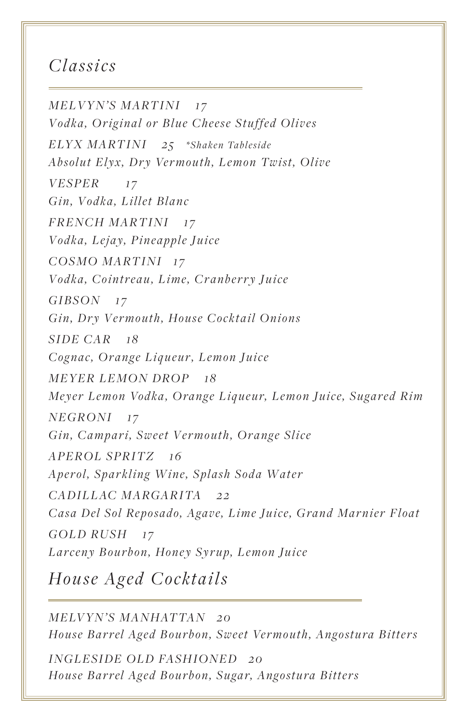## *Classics*

*FRENCH MARTINI 17 Vodka, Lejay, Pineapple Juice COSMO MARTINI 17 Vodka, Cointreau, Lime, Cranberry Juice GIBSON 17 Gin, Dry Vermouth, House Cocktail Onions VESPER 17 Gin, Vodka, Lillet Blanc MELVYN'S MARTINI 17 Vodka, Original or Blue Cheese Stuffed Olives APEROL SPRITZ 16 Aperol, Sparkling Wine, Splash Soda Water NEGRONI 17 Gin, Campari, Sweet Vermouth, Orange Slice SIDE CAR 18 Cognac, Orange Liqueur, Lemon Juice CADILL AC MARGARITA 22 Casa Del Sol Reposado, Agave, Lime Juice, Grand Marnier Float ELYX MARTINI* 25 \*Shaken Tableside *Absolut Elyx, Dry Vermouth, Lemon Twist, Olive MEYER LEMON DROP 18 Meyer Lemon Vodka, Orange Liqueur, Lemon Juice, Sugared Rim GOLD RUSH 17 Larceny Bourbon, Honey Syrup, Lemon Juice*

*House Aged Cocktails*

*MELVYN'S MANHATTAN 20 House Barrel Aged Bourbon, Sweet Vermouth, Angostura Bitters*

*INGLESIDE OLD FASHIONED 20 House Barrel Aged Bourbon, Sugar, Angostura Bitters*